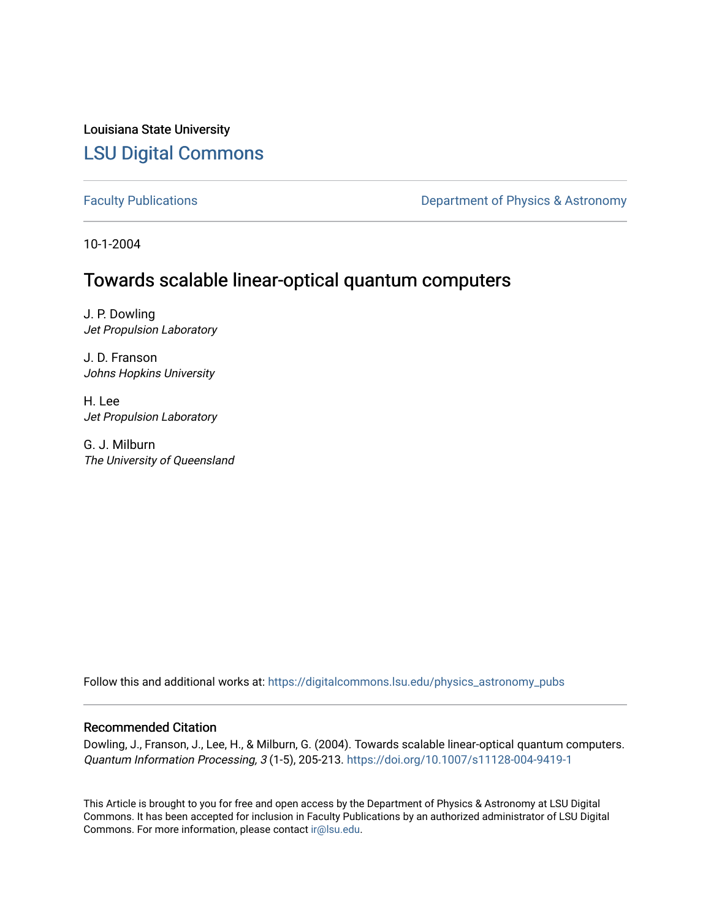Louisiana State University [LSU Digital Commons](https://digitalcommons.lsu.edu/)

[Faculty Publications](https://digitalcommons.lsu.edu/physics_astronomy_pubs) **Exercise 2 and Table 2 and Table 2 and Table 2 and Table 2 and Table 2 and Table 2 and Table 2 and Table 2 and Table 2 and Table 2 and Table 2 and Table 2 and Table 2 and Table 2 and Table 2 and Table** 

10-1-2004

# Towards scalable linear-optical quantum computers

J. P. Dowling Jet Propulsion Laboratory

J. D. Franson Johns Hopkins University

H. Lee Jet Propulsion Laboratory

G. J. Milburn The University of Queensland

Follow this and additional works at: [https://digitalcommons.lsu.edu/physics\\_astronomy\\_pubs](https://digitalcommons.lsu.edu/physics_astronomy_pubs?utm_source=digitalcommons.lsu.edu%2Fphysics_astronomy_pubs%2F3168&utm_medium=PDF&utm_campaign=PDFCoverPages) 

## Recommended Citation

Dowling, J., Franson, J., Lee, H., & Milburn, G. (2004). Towards scalable linear-optical quantum computers. Quantum Information Processing, 3 (1-5), 205-213. <https://doi.org/10.1007/s11128-004-9419-1>

This Article is brought to you for free and open access by the Department of Physics & Astronomy at LSU Digital Commons. It has been accepted for inclusion in Faculty Publications by an authorized administrator of LSU Digital Commons. For more information, please contact [ir@lsu.edu](mailto:ir@lsu.edu).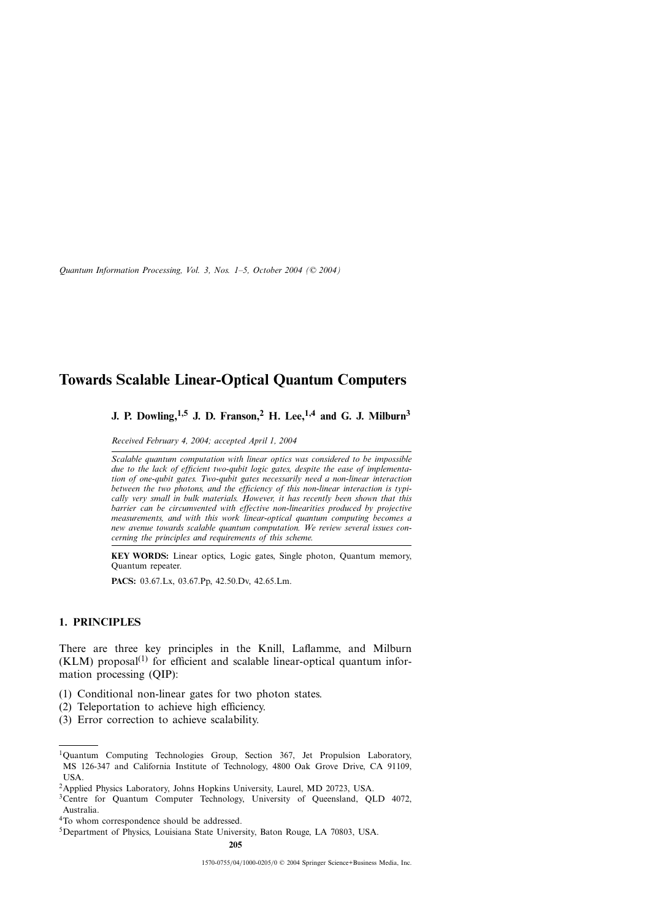## **Towards Scalable Linear-Optical Quantum Computers**

**J. P. Dowling,1,5 J. D. Franson,<sup>2</sup> H. Lee,1,4 and G. J. Milburn<sup>3</sup>**

*Received February 4, 2004; accepted April 1, 2004*

*Scalable quantum computation with linear optics was considered to be impossible due to the lack of efficient two-qubit logic gates, despite the ease of implementation of one-qubit gates. Two-qubit gates necessarily need a non-linear interaction between the two photons, and the efficiency of this non-linear interaction is typically very small in bulk materials. However, it has recently been shown that this barrier can be circumvented with effective non-linearities produced by projective measurements, and with this work linear-optical quantum computing becomes a new avenue towards scalable quantum computation. We review several issues concerning the principles and requirements of this scheme.*

**KEY WORDS:** Linear optics, Logic gates, Single photon, Quantum memory, Quantum repeater.

**PACS:** 03.67.Lx, 03.67.Pp, 42.50.Dv, 42.65.Lm.

### **1. PRINCIPLES**

There are three key principles in the Knill, Laflamme, and Milburn  $(KLM)$  proposal<sup> $(1)$ </sup> for efficient and scalable linear-optical quantum information processing (QIP):

- (1) Conditional non-linear gates for two photon states.
- (2) Teleportation to achieve high efficiency.
- (3) Error correction to achieve scalability.

**205**

<sup>1</sup>Quantum Computing Technologies Group, Section 367, Jet Propulsion Laboratory, MS 126-347 and California Institute of Technology, 4800 Oak Grove Drive, CA 91109, USA.

<sup>2</sup>Applied Physics Laboratory, Johns Hopkins University, Laurel, MD 20723, USA.

<sup>3</sup>Centre for Quantum Computer Technology, University of Queensland, QLD 4072, Australia.

<sup>4</sup>To whom correspondence should be addressed.

<sup>5</sup>Department of Physics, Louisiana State University, Baton Rouge, LA 70803, USA.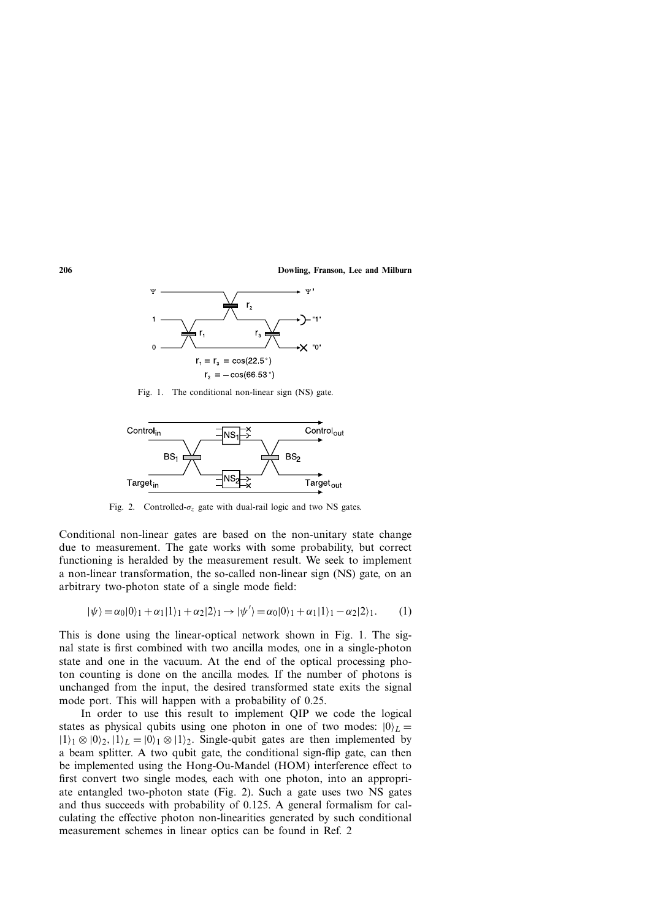

Fig. 1. The conditional non-linear sign (NS) gate.



Fig. 2. Controlled- $\sigma_z$  gate with dual-rail logic and two NS gates.

Conditional non-linear gates are based on the non-unitary state change due to measurement. The gate works with some probability, but correct functioning is heralded by the measurement result. We seek to implement a non-linear transformation, the so-called non-linear sign (NS) gate, on an arbitrary two-photon state of a single mode field:

$$
|\psi\rangle = \alpha_0|0\rangle_1 + \alpha_1|1\rangle_1 + \alpha_2|2\rangle_1 \to |\psi'\rangle = \alpha_0|0\rangle_1 + \alpha_1|1\rangle_1 - \alpha_2|2\rangle_1. \tag{1}
$$

This is done using the linear-optical network shown in Fig. 1. The signal state is first combined with two ancilla modes, one in a single-photon state and one in the vacuum. At the end of the optical processing photon counting is done on the ancilla modes. If the number of photons is unchanged from the input, the desired transformed state exits the signal mode port. This will happen with a probability of 0.25.

In order to use this result to implement QIP we code the logical states as physical qubits using one photon in one of two modes:  $|0\rangle_L$  =  $|1\rangle_1 \otimes |0\rangle_2, |1\rangle_L = |0\rangle_1 \otimes |1\rangle_2$ . Single-qubit gates are then implemented by a beam splitter. A two qubit gate, the conditional sign-flip gate, can then be implemented using the Hong-Ou-Mandel (HOM) interference effect to first convert two single modes, each with one photon, into an appropriate entangled two-photon state (Fig. 2). Such a gate uses two NS gates and thus succeeds with probability of 0.125. A general formalism for calculating the effective photon non-linearities generated by such conditional measurement schemes in linear optics can be found in Ref. 2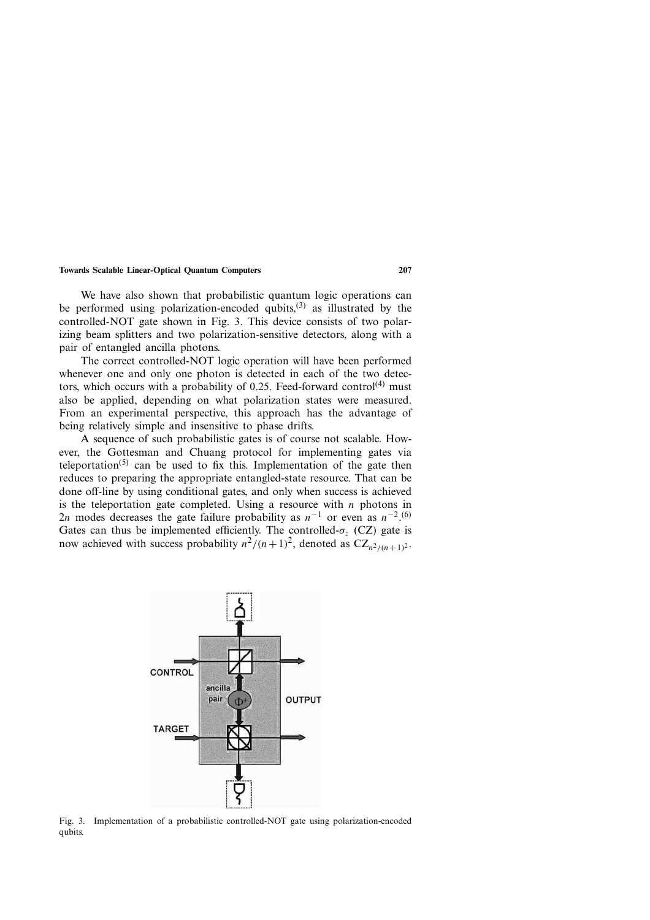#### **Towards Scalable Linear-Optical Quantum Computers 207**

We have also shown that probabilistic quantum logic operations can be performed using polarization-encoded qubits, $(3)$  as illustrated by the controlled-NOT gate shown in Fig. 3. This device consists of two polarizing beam splitters and two polarization-sensitive detectors, along with a pair of entangled ancilla photons.

The correct controlled-NOT logic operation will have been performed whenever one and only one photon is detected in each of the two detectors, which occurs with a probability of 0.25. Feed-forward control<sup>(4)</sup> must also be applied, depending on what polarization states were measured. From an experimental perspective, this approach has the advantage of being relatively simple and insensitive to phase drifts.

A sequence of such probabilistic gates is of course not scalable. However, the Gottesman and Chuang protocol for implementing gates via teleportation<sup> $(5)$ </sup> can be used to fix this. Implementation of the gate then reduces to preparing the appropriate entangled-state resource. That can be done off-line by using conditional gates, and only when success is achieved is the teleportation gate completed. Using a resource with  $n$  photons in 2n modes decreases the gate failure probability as  $n^{-1}$  or even as  $n^{-2}$ .<sup>(6)</sup> Gates can thus be implemented efficiently. The controlled- $\sigma$ <sub>z</sub> (CZ) gate is now achieved with success probability  $n^2/(n+1)^2$ , denoted as  $CZ_{n^2/(n+1)^2}$ .



Fig. 3. Implementation of a probabilistic controlled-NOT gate using polarization-encoded qubits.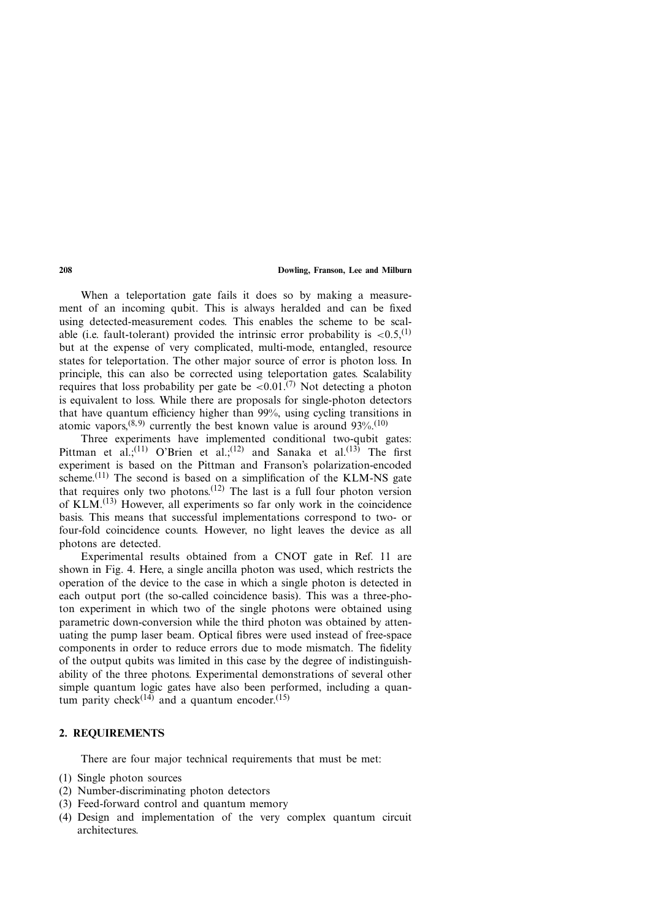When a teleportation gate fails it does so by making a measurement of an incoming qubit. This is always heralded and can be fixed using detected-measurement codes. This enables the scheme to be scalable (i.e. fault-tolerant) provided the intrinsic error probability is  $\langle 0.5,^{(1)} \rangle$ but at the expense of very complicated, multi-mode, entangled, resource states for teleportation. The other major source of error is photon loss. In principle, this can also be corrected using teleportation gates. Scalability requires that loss probability per gate be  $\leq 0.01$ .<sup>(7)</sup> Not detecting a photon is equivalent to loss. While there are proposals for single-photon detectors that have quantum efficiency higher than 99%, using cycling transitions in atomic vapors,  $(8, 9)$  currently the best known value is around 93%. $(10)$ 

Three experiments have implemented conditional two-qubit gates: Pittman et al.;<sup>(11)</sup> O'Brien et al.;<sup>(12)</sup> and Sanaka et al.<sup>(13)</sup> The first experiment is based on the Pittman and Franson's polarization-encoded scheme.<sup>(11)</sup> The second is based on a simplification of the KLM-NS gate that requires only two photons.<sup>(12)</sup> The last is a full four photon version of KLM.(13) However, all experiments so far only work in the coincidence basis. This means that successful implementations correspond to two- or four-fold coincidence counts. However, no light leaves the device as all photons are detected.

Experimental results obtained from a CNOT gate in Ref. 11 are shown in Fig. 4. Here, a single ancilla photon was used, which restricts the operation of the device to the case in which a single photon is detected in each output port (the so-called coincidence basis). This was a three-photon experiment in which two of the single photons were obtained using parametric down-conversion while the third photon was obtained by attenuating the pump laser beam. Optical fibres were used instead of free-space components in order to reduce errors due to mode mismatch. The fidelity of the output qubits was limited in this case by the degree of indistinguishability of the three photons. Experimental demonstrations of several other simple quantum logic gates have also been performed, including a quantum parity check<sup> $(14)$ </sup> and a quantum encoder.<sup> $(15)$ </sup>

#### **2. REQUIREMENTS**

There are four major technical requirements that must be met:

- (1) Single photon sources
- (2) Number-discriminating photon detectors
- (3) Feed-forward control and quantum memory
- (4) Design and implementation of the very complex quantum circuit architectures.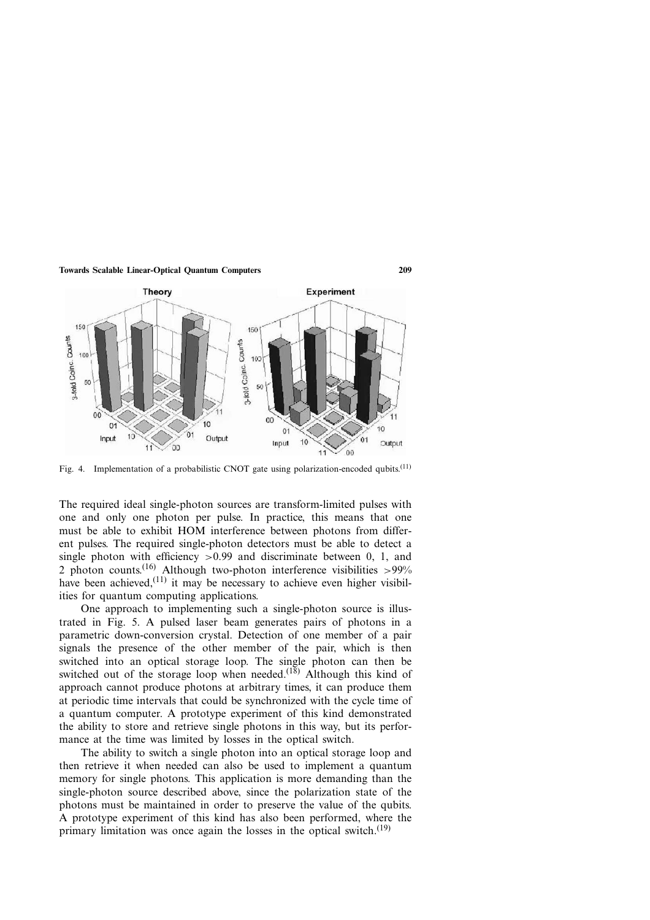

Fig. 4. Implementation of a probabilistic CNOT gate using polarization-encoded qubits.<sup>(11)</sup>

The required ideal single-photon sources are transform-limited pulses with one and only one photon per pulse. In practice, this means that one must be able to exhibit HOM interference between photons from different pulses. The required single-photon detectors must be able to detect a single photon with efficiency  $>0.99$  and discriminate between 0, 1, and 2 photon counts.<sup>(16)</sup> Although two-photon interference visibilities  $>99\%$ have been achieved,<sup>(11)</sup> it may be necessary to achieve even higher visibilities for quantum computing applications.

One approach to implementing such a single-photon source is illustrated in Fig. 5. A pulsed laser beam generates pairs of photons in a parametric down-conversion crystal. Detection of one member of a pair signals the presence of the other member of the pair, which is then switched into an optical storage loop. The single photon can then be switched out of the storage loop when needed.<sup> $(18)$ </sup> Although this kind of approach cannot produce photons at arbitrary times, it can produce them at periodic time intervals that could be synchronized with the cycle time of a quantum computer. A prototype experiment of this kind demonstrated the ability to store and retrieve single photons in this way, but its performance at the time was limited by losses in the optical switch.

The ability to switch a single photon into an optical storage loop and then retrieve it when needed can also be used to implement a quantum memory for single photons. This application is more demanding than the single-photon source described above, since the polarization state of the photons must be maintained in order to preserve the value of the qubits. A prototype experiment of this kind has also been performed, where the primary limitation was once again the losses in the optical switch. $(19)$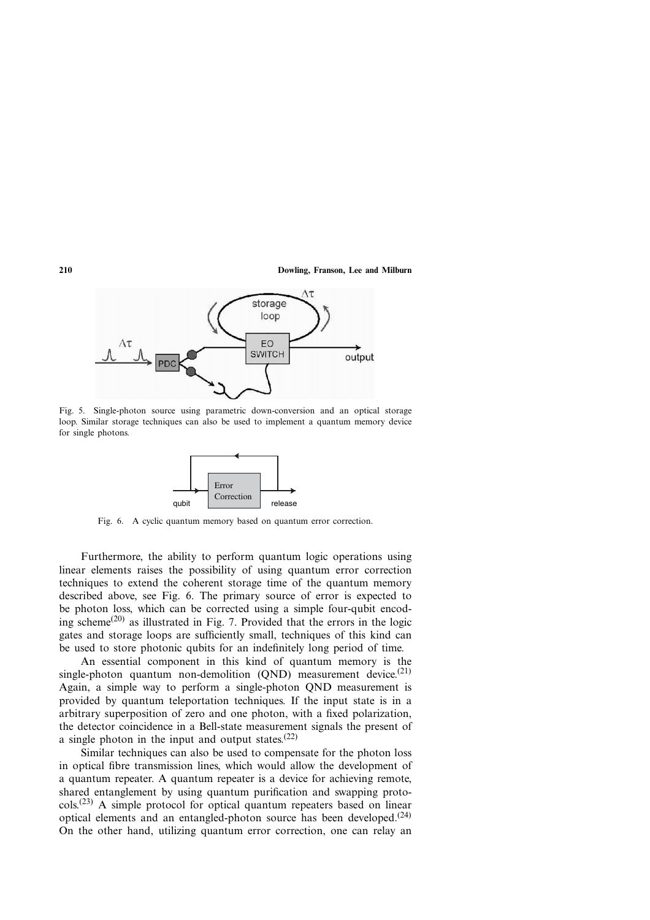

Fig. 5. Single-photon source using parametric down-conversion and an optical storage loop. Similar storage techniques can also be used to implement a quantum memory device for single photons.



Fig. 6. A cyclic quantum memory based on quantum error correction.

Furthermore, the ability to perform quantum logic operations using linear elements raises the possibility of using quantum error correction techniques to extend the coherent storage time of the quantum memory described above, see Fig. 6. The primary source of error is expected to be photon loss, which can be corrected using a simple four-qubit encoding scheme<sup> $(20)$ </sup> as illustrated in Fig. 7. Provided that the errors in the logic gates and storage loops are sufficiently small, techniques of this kind can be used to store photonic qubits for an indefinitely long period of time.

An essential component in this kind of quantum memory is the single-photon quantum non-demolition (QND) measurement device.<sup>(21)</sup> Again, a simple way to perform a single-photon QND measurement is provided by quantum teleportation techniques. If the input state is in a arbitrary superposition of zero and one photon, with a fixed polarization, the detector coincidence in a Bell-state measurement signals the present of a single photon in the input and output states. $(22)$ 

Similar techniques can also be used to compensate for the photon loss in optical fibre transmission lines, which would allow the development of a quantum repeater. A quantum repeater is a device for achieving remote, shared entanglement by using quantum purification and swapping protocols.(23) A simple protocol for optical quantum repeaters based on linear optical elements and an entangled-photon source has been developed.<sup>(24)</sup> On the other hand, utilizing quantum error correction, one can relay an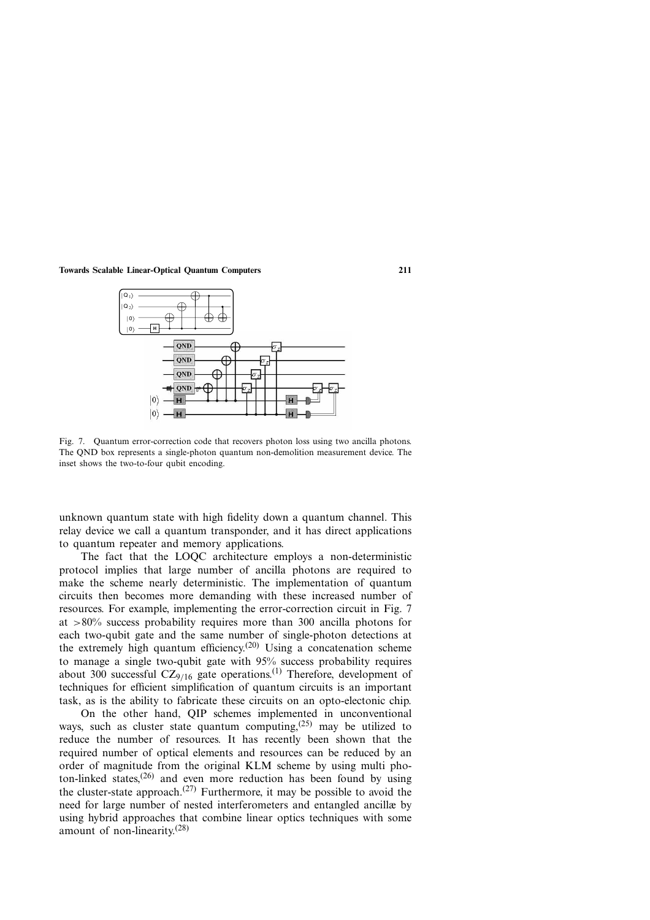

Fig. 7. Quantum error-correction code that recovers photon loss using two ancilla photons. The QND box represents a single-photon quantum non-demolition measurement device. The inset shows the two-to-four qubit encoding.

unknown quantum state with high fidelity down a quantum channel. This relay device we call a quantum transponder, and it has direct applications to quantum repeater and memory applications.

The fact that the LOQC architecture employs a non-deterministic protocol implies that large number of ancilla photons are required to make the scheme nearly deterministic. The implementation of quantum circuits then becomes more demanding with these increased number of resources. For example, implementing the error-correction circuit in Fig. 7 at >80% success probability requires more than 300 ancilla photons for each two-qubit gate and the same number of single-photon detections at the extremely high quantum efficiency.<sup> $(20)$ </sup> Using a concatenation scheme to manage a single two-qubit gate with 95% success probability requires about 300 successful  $CZ_{9/16}$  gate operations.<sup>(1)</sup> Therefore, development of techniques for efficient simplification of quantum circuits is an important task, as is the ability to fabricate these circuits on an opto-electonic chip.

On the other hand, QIP schemes implemented in unconventional ways, such as cluster state quantum computing, $(25)$  may be utilized to reduce the number of resources. It has recently been shown that the required number of optical elements and resources can be reduced by an order of magnitude from the original KLM scheme by using multi photon-linked states, $(26)$  and even more reduction has been found by using the cluster-state approach.<sup>(27)</sup> Furthermore, it may be possible to avoid the need for large number of nested interferometers and entangled ancillæ by using hybrid approaches that combine linear optics techniques with some amount of non-linearity. $(28)$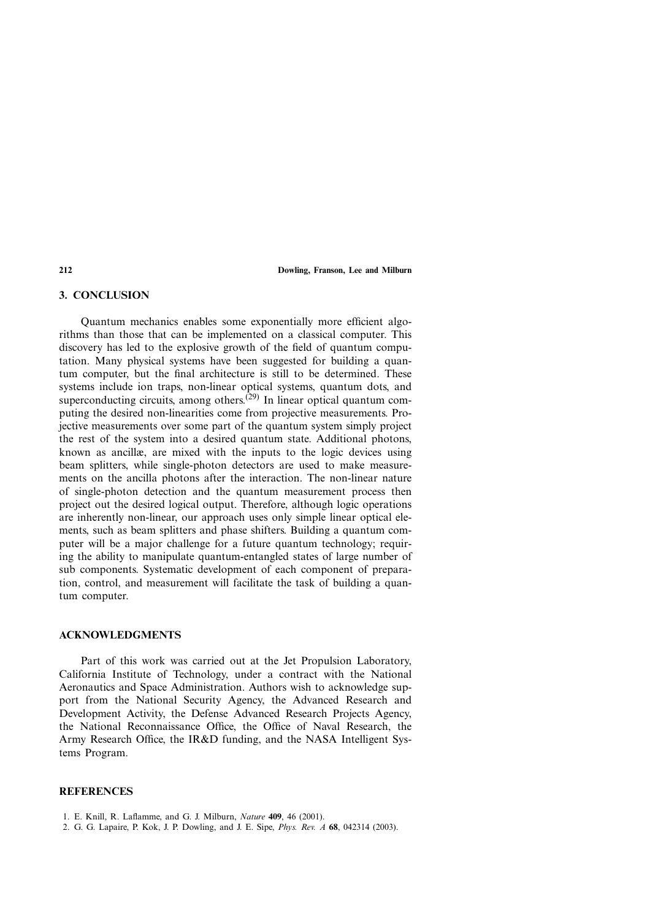### **3. CONCLUSION**

Quantum mechanics enables some exponentially more efficient algorithms than those that can be implemented on a classical computer. This discovery has led to the explosive growth of the field of quantum computation. Many physical systems have been suggested for building a quantum computer, but the final architecture is still to be determined. These systems include ion traps, non-linear optical systems, quantum dots, and superconducting circuits, among others.<sup> $(29)$ </sup> In linear optical quantum computing the desired non-linearities come from projective measurements. Projective measurements over some part of the quantum system simply project the rest of the system into a desired quantum state. Additional photons, known as ancillæ, are mixed with the inputs to the logic devices using beam splitters, while single-photon detectors are used to make measurements on the ancilla photons after the interaction. The non-linear nature of single-photon detection and the quantum measurement process then project out the desired logical output. Therefore, although logic operations are inherently non-linear, our approach uses only simple linear optical elements, such as beam splitters and phase shifters. Building a quantum computer will be a major challenge for a future quantum technology; requiring the ability to manipulate quantum-entangled states of large number of sub components. Systematic development of each component of preparation, control, and measurement will facilitate the task of building a quantum computer.

### **ACKNOWLEDGMENTS**

Part of this work was carried out at the Jet Propulsion Laboratory, California Institute of Technology, under a contract with the National Aeronautics and Space Administration. Authors wish to acknowledge support from the National Security Agency, the Advanced Research and Development Activity, the Defense Advanced Research Projects Agency, the National Reconnaissance Office, the Office of Naval Research, the Army Research Office, the IR&D funding, and the NASA Intelligent Systems Program.

#### **REFERENCES**

- 1. E. Knill, R. Laflamme, and G. J. Milburn, *Nature* **409**, 46 (2001).
- 2. G. G. Lapaire, P. Kok, J. P. Dowling, and J. E. Sipe, *Phys. Rev. A* **68**, 042314 (2003).